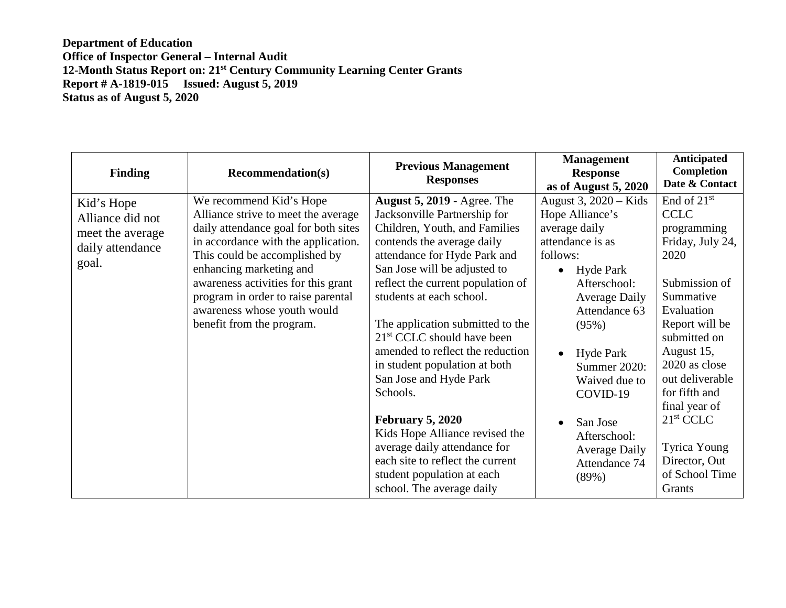| <b>Finding</b>                                                                  | <b>Recommendation(s)</b>                                                                                                                                                                                                                                                                                                                           | <b>Previous Management</b><br><b>Responses</b>                                                                                                                                                                                                                                                                                                                                                                                                                                                                                                                                                                                                | <b>Management</b><br><b>Response</b><br>as of August $5,2020$                                                                                                                                                                                                                                                                                             | <b>Anticipated</b><br>Completion<br>Date & Contact                                                                                                                                                                                                                                                                              |
|---------------------------------------------------------------------------------|----------------------------------------------------------------------------------------------------------------------------------------------------------------------------------------------------------------------------------------------------------------------------------------------------------------------------------------------------|-----------------------------------------------------------------------------------------------------------------------------------------------------------------------------------------------------------------------------------------------------------------------------------------------------------------------------------------------------------------------------------------------------------------------------------------------------------------------------------------------------------------------------------------------------------------------------------------------------------------------------------------------|-----------------------------------------------------------------------------------------------------------------------------------------------------------------------------------------------------------------------------------------------------------------------------------------------------------------------------------------------------------|---------------------------------------------------------------------------------------------------------------------------------------------------------------------------------------------------------------------------------------------------------------------------------------------------------------------------------|
| Kid's Hope<br>Alliance did not<br>meet the average<br>daily attendance<br>goal. | We recommend Kid's Hope<br>Alliance strive to meet the average<br>daily attendance goal for both sites<br>in accordance with the application.<br>This could be accomplished by<br>enhancing marketing and<br>awareness activities for this grant<br>program in order to raise parental<br>awareness whose youth would<br>benefit from the program. | <b>August 5, 2019 - Agree. The</b><br>Jacksonville Partnership for<br>Children, Youth, and Families<br>contends the average daily<br>attendance for Hyde Park and<br>San Jose will be adjusted to<br>reflect the current population of<br>students at each school.<br>The application submitted to the<br>$21st$ CCLC should have been<br>amended to reflect the reduction<br>in student population at both<br>San Jose and Hyde Park<br>Schools.<br><b>February 5, 2020</b><br>Kids Hope Alliance revised the<br>average daily attendance for<br>each site to reflect the current<br>student population at each<br>school. The average daily | August 3, $2020 -$ Kids<br>Hope Alliance's<br>average daily<br>attendance is as<br>follows:<br>Hyde Park<br>$\bullet$<br>Afterschool:<br><b>Average Daily</b><br>Attendance 63<br>(95%)<br>Hyde Park<br>$\bullet$<br>Summer 2020:<br>Waived due to<br>COVID-19<br>San Jose<br>$\bullet$<br>Afterschool:<br><b>Average Daily</b><br>Attendance 74<br>(89%) | End of $21st$<br><b>CCLC</b><br>programming<br>Friday, July 24,<br>2020<br>Submission of<br>Summative<br>Evaluation<br>Report will be<br>submitted on<br>August 15,<br>2020 as close<br>out deliverable<br>for fifth and<br>final year of<br>21 <sup>st</sup> CCLC<br>Tyrica Young<br>Director, Out<br>of School Time<br>Grants |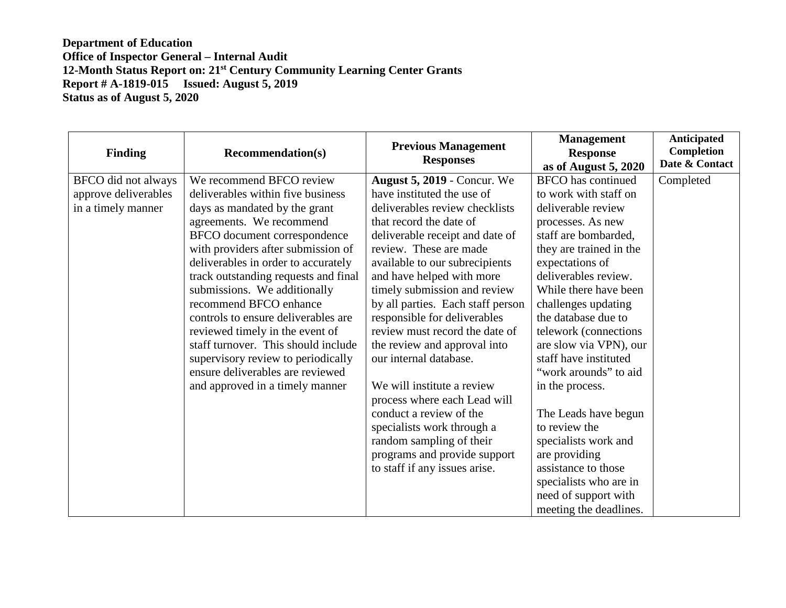| <b>Finding</b>       | <b>Recommendation(s)</b>             | <b>Previous Management</b><br><b>Responses</b> | <b>Management</b><br><b>Response</b><br>as of August 5, 2020 | Anticipated<br><b>Completion</b><br>Date & Contact |
|----------------------|--------------------------------------|------------------------------------------------|--------------------------------------------------------------|----------------------------------------------------|
| BFCO did not always  | We recommend BFCO review             | <b>August 5, 2019 - Concur. We</b>             | <b>BFCO</b> has continued                                    | Completed                                          |
| approve deliverables | deliverables within five business    | have instituted the use of                     | to work with staff on                                        |                                                    |
| in a timely manner   | days as mandated by the grant        | deliverables review checklists                 | deliverable review                                           |                                                    |
|                      | agreements. We recommend             | that record the date of                        | processes. As new                                            |                                                    |
|                      | BFCO document correspondence         | deliverable receipt and date of                | staff are bombarded,                                         |                                                    |
|                      | with providers after submission of   | review. These are made                         | they are trained in the                                      |                                                    |
|                      | deliverables in order to accurately  | available to our subrecipients                 | expectations of                                              |                                                    |
|                      | track outstanding requests and final | and have helped with more                      | deliverables review.                                         |                                                    |
|                      | submissions. We additionally         | timely submission and review                   | While there have been                                        |                                                    |
|                      | recommend BFCO enhance               | by all parties. Each staff person              | challenges updating                                          |                                                    |
|                      | controls to ensure deliverables are  | responsible for deliverables                   | the database due to                                          |                                                    |
|                      | reviewed timely in the event of      | review must record the date of                 | telework (connections)                                       |                                                    |
|                      | staff turnover. This should include  | the review and approval into                   | are slow via VPN), our                                       |                                                    |
|                      | supervisory review to periodically   | our internal database.                         | staff have instituted                                        |                                                    |
|                      | ensure deliverables are reviewed     |                                                | "work arounds" to aid                                        |                                                    |
|                      | and approved in a timely manner      | We will institute a review                     | in the process.                                              |                                                    |
|                      |                                      | process where each Lead will                   |                                                              |                                                    |
|                      |                                      | conduct a review of the                        | The Leads have begun                                         |                                                    |
|                      |                                      | specialists work through a                     | to review the                                                |                                                    |
|                      |                                      | random sampling of their                       | specialists work and                                         |                                                    |
|                      |                                      | programs and provide support                   | are providing                                                |                                                    |
|                      |                                      | to staff if any issues arise.                  | assistance to those                                          |                                                    |
|                      |                                      |                                                | specialists who are in                                       |                                                    |
|                      |                                      |                                                | need of support with                                         |                                                    |
|                      |                                      |                                                | meeting the deadlines.                                       |                                                    |